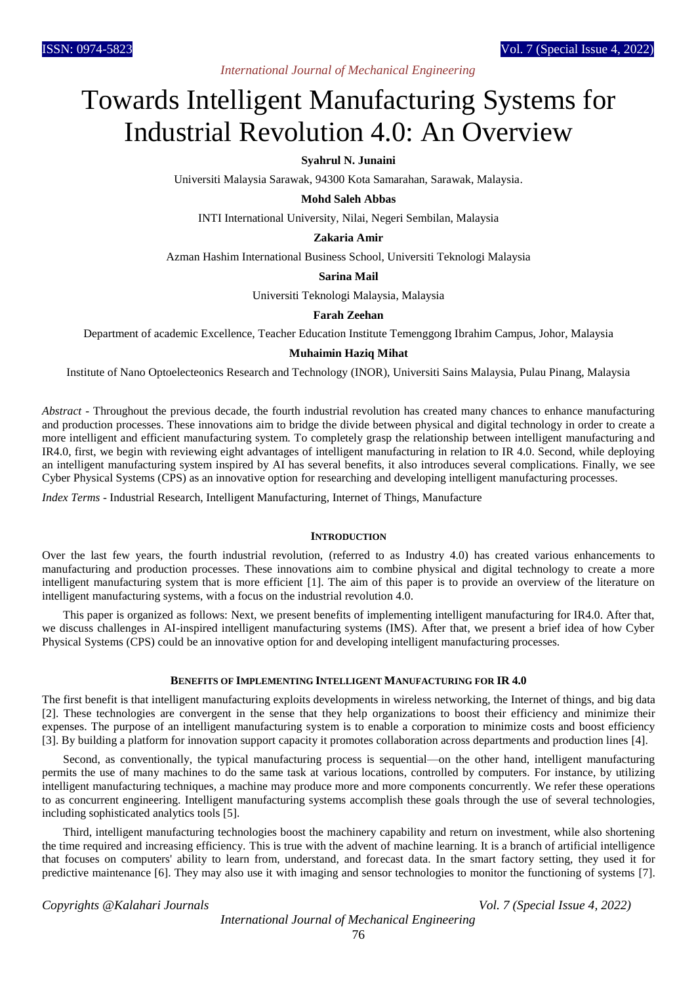# *International Journal of Mechanical Engineering*

# Towards Intelligent Manufacturing Systems for Industrial Revolution 4.0: An Overview

# **Syahrul N. Junaini**

Universiti Malaysia Sarawak, 94300 Kota Samarahan, Sarawak, Malaysia.

**Mohd Saleh Abbas**

INTI International University, Nilai, Negeri Sembilan, Malaysia

# **Zakaria Amir**

Azman Hashim International Business School, Universiti Teknologi Malaysia

# **Sarina Mail**

Universiti Teknologi Malaysia, Malaysia

# **Farah Zeehan**

Department of academic Excellence, Teacher Education Institute Temenggong Ibrahim Campus, Johor, Malaysia

# **Muhaimin Haziq Mihat**

Institute of Nano Optoelecteonics Research and Technology (INOR), Universiti Sains Malaysia, Pulau Pinang, Malaysia

*Abstract* - Throughout the previous decade, the fourth industrial revolution has created many chances to enhance manufacturing and production processes. These innovations aim to bridge the divide between physical and digital technology in order to create a more intelligent and efficient manufacturing system. To completely grasp the relationship between intelligent manufacturing and IR4.0, first, we begin with reviewing eight advantages of intelligent manufacturing in relation to IR 4.0. Second, while deploying an intelligent manufacturing system inspired by AI has several benefits, it also introduces several complications. Finally, we see Cyber Physical Systems (CPS) as an innovative option for researching and developing intelligent manufacturing processes.

*Index Terms* - Industrial Research, Intelligent Manufacturing, Internet of Things, Manufacture

#### **INTRODUCTION**

Over the last few years, the fourth industrial revolution, (referred to as Industry 4.0) has created various enhancements to manufacturing and production processes. These innovations aim to combine physical and digital technology to create a more intelligent manufacturing system that is more efficient [1]. The aim of this paper is to provide an overview of the literature on intelligent manufacturing systems, with a focus on the industrial revolution 4.0.

This paper is organized as follows: Next, we present benefits of implementing intelligent manufacturing for IR4.0. After that, we discuss challenges in AI-inspired intelligent manufacturing systems (IMS). After that, we present a brief idea of how Cyber Physical Systems (CPS) could be an innovative option for and developing intelligent manufacturing processes.

#### **BENEFITS OF IMPLEMENTING INTELLIGENT MANUFACTURING FOR IR 4.0**

The first benefit is that intelligent manufacturing exploits developments in wireless networking, the Internet of things, and big data [2]. These technologies are convergent in the sense that they help organizations to boost their efficiency and minimize their expenses. The purpose of an intelligent manufacturing system is to enable a corporation to minimize costs and boost efficiency [3]. By building a platform for innovation support capacity it promotes collaboration across departments and production lines [4].

Second, as conventionally, the typical manufacturing process is sequential—on the other hand, intelligent manufacturing permits the use of many machines to do the same task at various locations, controlled by computers. For instance, by utilizing intelligent manufacturing techniques, a machine may produce more and more components concurrently. We refer these operations to as concurrent engineering. Intelligent manufacturing systems accomplish these goals through the use of several technologies, including sophisticated analytics tools [5].

Third, intelligent manufacturing technologies boost the machinery capability and return on investment, while also shortening the time required and increasing efficiency. This is true with the advent of machine learning. It is a branch of artificial intelligence that focuses on computers' ability to learn from, understand, and forecast data. In the smart factory setting, they used it for predictive maintenance [6]. They may also use it with imaging and sensor technologies to monitor the functioning of systems [7].

*Copyrights @Kalahari Journals Vol. 7 (Special Issue 4, 2022)*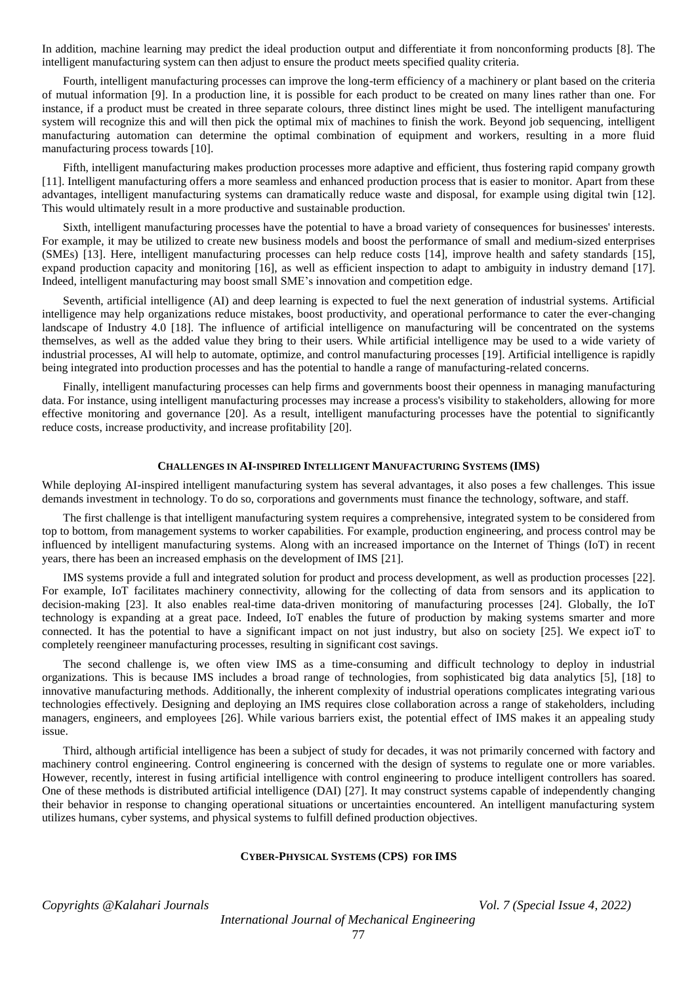In addition, machine learning may predict the ideal production output and differentiate it from nonconforming products [8]. The intelligent manufacturing system can then adjust to ensure the product meets specified quality criteria.

Fourth, intelligent manufacturing processes can improve the long-term efficiency of a machinery or plant based on the criteria of mutual information [9]. In a production line, it is possible for each product to be created on many lines rather than one. For instance, if a product must be created in three separate colours, three distinct lines might be used. The intelligent manufacturing system will recognize this and will then pick the optimal mix of machines to finish the work. Beyond job sequencing, intelligent manufacturing automation can determine the optimal combination of equipment and workers, resulting in a more fluid manufacturing process towards [10].

Fifth, intelligent manufacturing makes production processes more adaptive and efficient, thus fostering rapid company growth [11]. Intelligent manufacturing offers a more seamless and enhanced production process that is easier to monitor. Apart from these advantages, intelligent manufacturing systems can dramatically reduce waste and disposal, for example using digital twin [12]. This would ultimately result in a more productive and sustainable production.

Sixth, intelligent manufacturing processes have the potential to have a broad variety of consequences for businesses' interests. For example, it may be utilized to create new business models and boost the performance of small and medium-sized enterprises (SMEs) [13]. Here, intelligent manufacturing processes can help reduce costs [14], improve health and safety standards [15], expand production capacity and monitoring [16], as well as efficient inspection to adapt to ambiguity in industry demand [17]. Indeed, intelligent manufacturing may boost small SME's innovation and competition edge.

Seventh, artificial intelligence (AI) and deep learning is expected to fuel the next generation of industrial systems. Artificial intelligence may help organizations reduce mistakes, boost productivity, and operational performance to cater the ever-changing landscape of Industry 4.0 [18]. The influence of artificial intelligence on manufacturing will be concentrated on the systems themselves, as well as the added value they bring to their users. While artificial intelligence may be used to a wide variety of industrial processes, AI will help to automate, optimize, and control manufacturing processes [19]. Artificial intelligence is rapidly being integrated into production processes and has the potential to handle a range of manufacturing-related concerns.

Finally, intelligent manufacturing processes can help firms and governments boost their openness in managing manufacturing data. For instance, using intelligent manufacturing processes may increase a process's visibility to stakeholders, allowing for more effective monitoring and governance [20]. As a result, intelligent manufacturing processes have the potential to significantly reduce costs, increase productivity, and increase profitability [20].

# **CHALLENGES IN AI-INSPIRED INTELLIGENT MANUFACTURING SYSTEMS (IMS)**

While deploying AI-inspired intelligent manufacturing system has several advantages, it also poses a few challenges. This issue demands investment in technology. To do so, corporations and governments must finance the technology, software, and staff.

The first challenge is that intelligent manufacturing system requires a comprehensive, integrated system to be considered from top to bottom, from management systems to worker capabilities. For example, production engineering, and process control may be influenced by intelligent manufacturing systems. Along with an increased importance on the Internet of Things (IoT) in recent years, there has been an increased emphasis on the development of IMS [21].

IMS systems provide a full and integrated solution for product and process development, as well as production processes [22]. For example, IoT facilitates machinery connectivity, allowing for the collecting of data from sensors and its application to decision-making [23]. It also enables real-time data-driven monitoring of manufacturing processes [24]. Globally, the IoT technology is expanding at a great pace. Indeed, IoT enables the future of production by making systems smarter and more connected. It has the potential to have a significant impact on not just industry, but also on society [25]. We expect ioT to completely reengineer manufacturing processes, resulting in significant cost savings.

The second challenge is, we often view IMS as a time-consuming and difficult technology to deploy in industrial organizations. This is because IMS includes a broad range of technologies, from sophisticated big data analytics [5], [18] to innovative manufacturing methods. Additionally, the inherent complexity of industrial operations complicates integrating various technologies effectively. Designing and deploying an IMS requires close collaboration across a range of stakeholders, including managers, engineers, and employees [26]. While various barriers exist, the potential effect of IMS makes it an appealing study issue.

Third, although artificial intelligence has been a subject of study for decades, it was not primarily concerned with factory and machinery control engineering. Control engineering is concerned with the design of systems to regulate one or more variables. However, recently, interest in fusing artificial intelligence with control engineering to produce intelligent controllers has soared. One of these methods is distributed artificial intelligence (DAI) [27]. It may construct systems capable of independently changing their behavior in response to changing operational situations or uncertainties encountered. An intelligent manufacturing system utilizes humans, cyber systems, and physical systems to fulfill defined production objectives.

#### **CYBER-PHYSICAL SYSTEMS (CPS) FOR IMS**

*Copyrights @Kalahari Journals Vol. 7 (Special Issue 4, 2022)*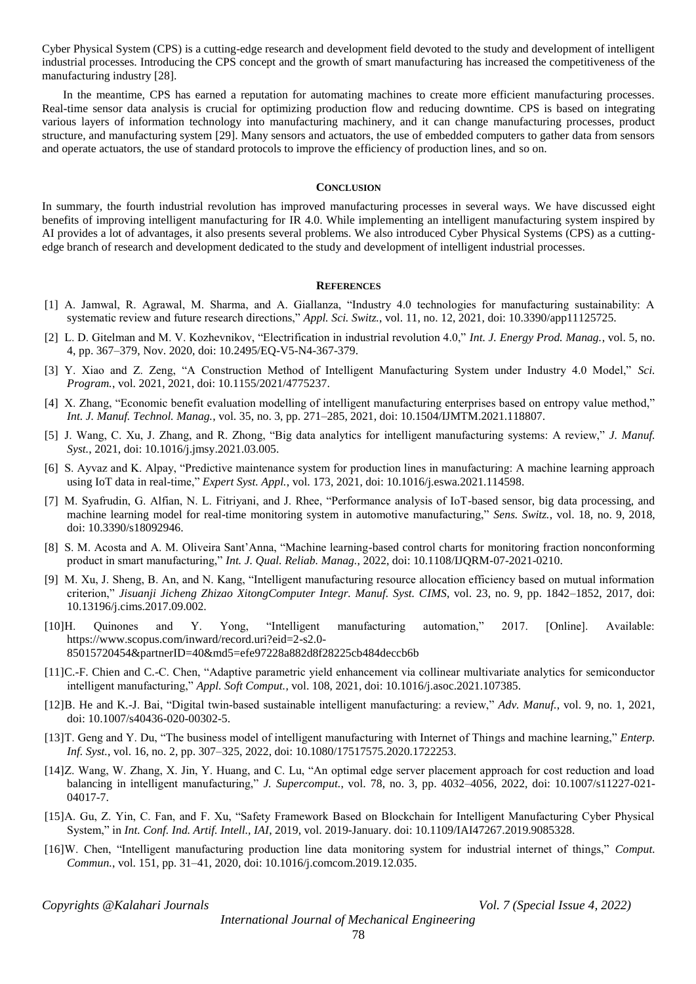Cyber Physical System (CPS) is a cutting-edge research and development field devoted to the study and development of intelligent industrial processes. Introducing the CPS concept and the growth of smart manufacturing has increased the competitiveness of the manufacturing industry [28].

In the meantime, CPS has earned a reputation for automating machines to create more efficient manufacturing processes. Real-time sensor data analysis is crucial for optimizing production flow and reducing downtime. CPS is based on integrating various layers of information technology into manufacturing machinery, and it can change manufacturing processes, product structure, and manufacturing system [29]. Many sensors and actuators, the use of embedded computers to gather data from sensors and operate actuators, the use of standard protocols to improve the efficiency of production lines, and so on.

## **CONCLUSION**

In summary, the fourth industrial revolution has improved manufacturing processes in several ways. We have discussed eight benefits of improving intelligent manufacturing for IR 4.0. While implementing an intelligent manufacturing system inspired by AI provides a lot of advantages, it also presents several problems. We also introduced Cyber Physical Systems (CPS) as a cuttingedge branch of research and development dedicated to the study and development of intelligent industrial processes.

#### **REFERENCES**

- [1] A. Jamwal, R. Agrawal, M. Sharma, and A. Giallanza, "Industry 4.0 technologies for manufacturing sustainability: A systematic review and future research directions," *Appl. Sci. Switz.*, vol. 11, no. 12, 2021, doi: 10.3390/app11125725.
- [2] L. D. Gitelman and M. V. Kozhevnikov, "Electrification in industrial revolution 4.0," *Int. J. Energy Prod. Manag.*, vol. 5, no. 4, pp. 367–379, Nov. 2020, doi: 10.2495/EQ-V5-N4-367-379.
- [3] Y. Xiao and Z. Zeng, "A Construction Method of Intelligent Manufacturing System under Industry 4.0 Model," *Sci. Program.*, vol. 2021, 2021, doi: 10.1155/2021/4775237.
- [4] X. Zhang, "Economic benefit evaluation modelling of intelligent manufacturing enterprises based on entropy value method," *Int. J. Manuf. Technol. Manag.*, vol. 35, no. 3, pp. 271–285, 2021, doi: 10.1504/IJMTM.2021.118807.
- [5] J. Wang, C. Xu, J. Zhang, and R. Zhong, "Big data analytics for intelligent manufacturing systems: A review," *J. Manuf. Syst.*, 2021, doi: 10.1016/j.jmsy.2021.03.005.
- [6] S. Ayvaz and K. Alpay, "Predictive maintenance system for production lines in manufacturing: A machine learning approach using IoT data in real-time," *Expert Syst. Appl.*, vol. 173, 2021, doi: 10.1016/j.eswa.2021.114598.
- [7] M. Syafrudin, G. Alfian, N. L. Fitriyani, and J. Rhee, "Performance analysis of IoT-based sensor, big data processing, and machine learning model for real-time monitoring system in automotive manufacturing," *Sens. Switz.*, vol. 18, no. 9, 2018, doi: 10.3390/s18092946.
- [8] S. M. Acosta and A. M. Oliveira Sant'Anna, "Machine learning-based control charts for monitoring fraction nonconforming product in smart manufacturing," *Int. J. Qual. Reliab. Manag.*, 2022, doi: 10.1108/IJQRM-07-2021-0210.
- [9] M. Xu, J. Sheng, B. An, and N. Kang, "Intelligent manufacturing resource allocation efficiency based on mutual information criterion," *Jisuanji Jicheng Zhizao XitongComputer Integr. Manuf. Syst. CIMS*, vol. 23, no. 9, pp. 1842–1852, 2017, doi: 10.13196/j.cims.2017.09.002.
- [10]H. Quinones and Y. Yong, "Intelligent manufacturing automation," 2017. [Online]. Available: https://www.scopus.com/inward/record.uri?eid=2-s2.0- 85015720454&partnerID=40&md5=efe97228a882d8f28225cb484deccb6b
- [11]C.-F. Chien and C.-C. Chen, "Adaptive parametric yield enhancement via collinear multivariate analytics for semiconductor intelligent manufacturing," *Appl. Soft Comput.*, vol. 108, 2021, doi: 10.1016/j.asoc.2021.107385.
- [12]B. He and K.-J. Bai, "Digital twin-based sustainable intelligent manufacturing: a review," *Adv. Manuf.*, vol. 9, no. 1, 2021, doi: 10.1007/s40436-020-00302-5.
- [13]T. Geng and Y. Du, "The business model of intelligent manufacturing with Internet of Things and machine learning," *Enterp. Inf. Syst.*, vol. 16, no. 2, pp. 307–325, 2022, doi: 10.1080/17517575.2020.1722253.
- [14]Z. Wang, W. Zhang, X. Jin, Y. Huang, and C. Lu, "An optimal edge server placement approach for cost reduction and load balancing in intelligent manufacturing," *J. Supercomput.*, vol. 78, no. 3, pp. 4032–4056, 2022, doi: 10.1007/s11227-021- 04017-7.
- [15]A. Gu, Z. Yin, C. Fan, and F. Xu, "Safety Framework Based on Blockchain for Intelligent Manufacturing Cyber Physical System," in *Int. Conf. Ind. Artif. Intell., IAI*, 2019, vol. 2019-January. doi: 10.1109/IAI47267.2019.9085328.
- [16]W. Chen, "Intelligent manufacturing production line data monitoring system for industrial internet of things," *Comput. Commun.*, vol. 151, pp. 31–41, 2020, doi: 10.1016/j.comcom.2019.12.035.

*Copyrights @Kalahari Journals Vol. 7 (Special Issue 4, 2022)*